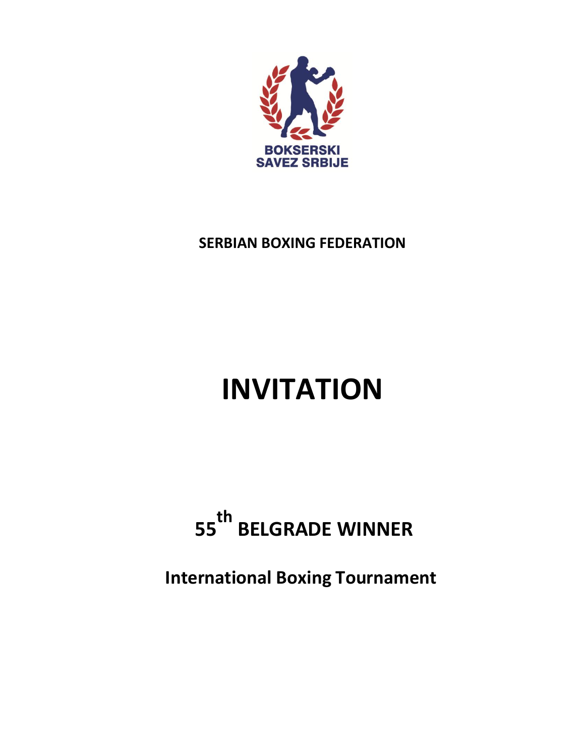

# **SERBIAN BOXING FEDERATION**

# **INVITATION**

# **<sup>55</sup>th BELGRADE WINNER**

**International Boxing Tournament**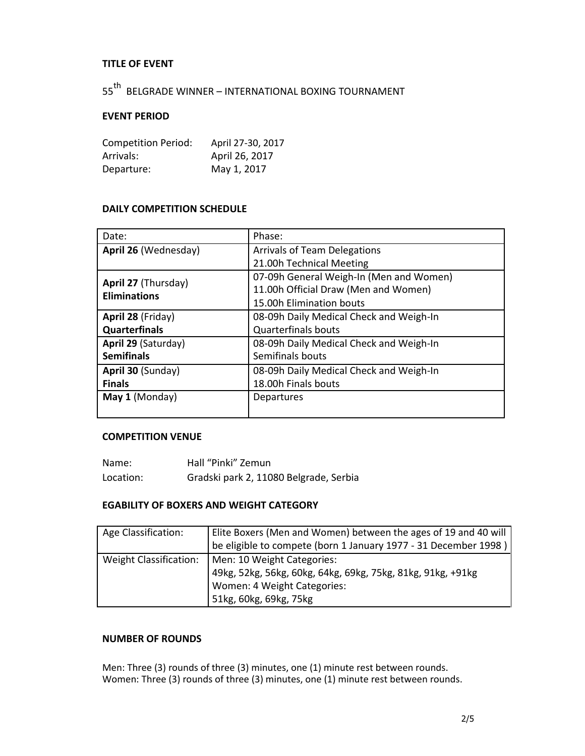## **TITLE OF EVENT**

55<sup>th</sup> BELGRADE WINNER – INTERNATIONAL BOXING TOURNAMENT

#### **EVENT PERIOD**

| <b>Competition Period:</b> | April 27-30, 2017 |
|----------------------------|-------------------|
| Arrivals:                  | April 26, 2017    |
| Departure:                 | May 1, 2017       |

#### **DAILY COMPETITION SCHEDULE**

| Date:                                      | Phase:                                  |
|--------------------------------------------|-----------------------------------------|
| April 26 (Wednesday)                       | <b>Arrivals of Team Delegations</b>     |
|                                            | 21.00h Technical Meeting                |
| April 27 (Thursday)<br><b>Eliminations</b> | 07-09h General Weigh-In (Men and Women) |
|                                            | 11.00h Official Draw (Men and Women)    |
|                                            | 15.00h Elimination bouts                |
| April 28 (Friday)                          | 08-09h Daily Medical Check and Weigh-In |
| <b>Quarterfinals</b>                       | <b>Quarterfinals bouts</b>              |
| April 29 (Saturday)                        | 08-09h Daily Medical Check and Weigh-In |
| <b>Semifinals</b>                          | Semifinals bouts                        |
| April 30 (Sunday)                          | 08-09h Daily Medical Check and Weigh-In |
| <b>Finals</b>                              | 18.00h Finals bouts                     |
| May 1 (Monday)                             | Departures                              |
|                                            |                                         |

# **COMPETITION VENUE**

| Name:     | Hall "Pinki" Zemun                     |
|-----------|----------------------------------------|
| Location: | Gradski park 2, 11080 Belgrade, Serbia |

#### **EGABILITY OF BOXERS AND WEIGHT CATEGORY**

| Age Classification:    | Elite Boxers (Men and Women) between the ages of 19 and 40 will<br>be eligible to compete (born 1 January 1977 - 31 December 1998)                 |
|------------------------|----------------------------------------------------------------------------------------------------------------------------------------------------|
| Weight Classification: | Men: 10 Weight Categories:<br>49kg, 52kg, 56kg, 60kg, 64kg, 69kg, 75kg, 81kg, 91kg, +91kg<br>Women: 4 Weight Categories:<br>51kg, 60kg, 69kg, 75kg |

#### **NUMBER OF ROUNDS**

Men: Three (3) rounds of three (3) minutes, one (1) minute rest between rounds. Women: Three (3) rounds of three (3) minutes, one (1) minute rest between rounds.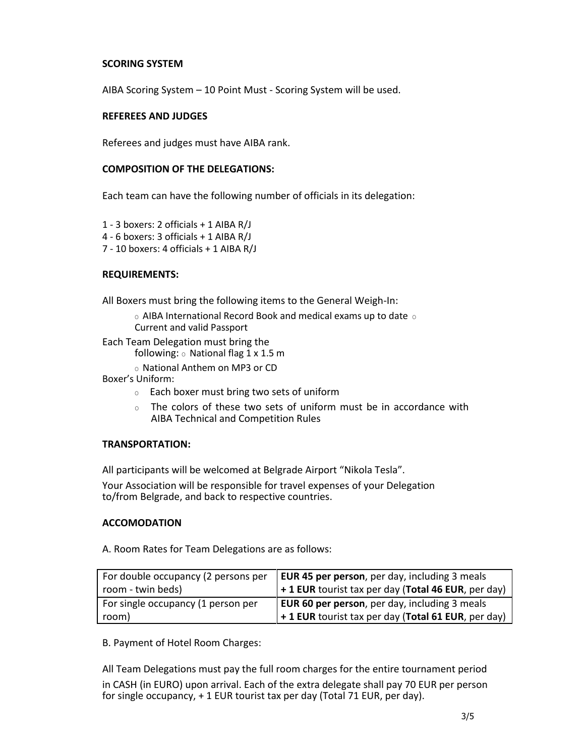#### **SCORING SYSTEM**

AIBA Scoring System – 10 Point Must - Scoring System will be used.

#### **REFEREES AND JUDGES**

Referees and judges must have AIBA rank.

#### **COMPOSITION OF THE DELEGATIONS:**

Each team can have the following number of officials in its delegation:

- 1 3 boxers: 2 officials + 1 AIBA R/J
- 4 6 boxers: 3 officials + 1 AIBA R/J
- 7 10 boxers: 4 officials + 1 AIBA R/J

## **REQUIREMENTS:**

All Boxers must bring the following items to the General Weigh-In:

 $\circ$  AIBA International Record Book and medical exams up to date  $\circ$ Current and valid Passport

Each Team Delegation must bring the

following:  $\circ$  National flag 1 x 1.5 m

o National Anthem on MP3 or CD

Boxer's Uniform:

- $\circ$  Each boxer must bring two sets of uniform
- $\circ$  The colors of these two sets of uniform must be in accordance with AIBA Technical and Competition Rules

## **TRANSPORTATION:**

All participants will be welcomed at Belgrade Airport "Nikola Tesla".

Your Association will be responsible for travel expenses of your Delegation to/from Belgrade, and back to respective countries.

#### **ACCOMODATION**

A. Room Rates for Team Delegations are as follows:

| For double occupancy (2 persons per | EUR 45 per person, per day, including 3 meals                     |
|-------------------------------------|-------------------------------------------------------------------|
| room - twin beds)                   | $\frac{1}{2}$ + 1 EUR tourist tax per day (Total 46 EUR, per day) |
| For single occupancy (1 person per  | <b>EUR 60 per person</b> , per day, including 3 meals             |
| room)                               | $'$ + 1 EUR tourist tax per day (Total 61 EUR, per day)           |

B. Payment of Hotel Room Charges:

All Team Delegations must pay the full room charges for the entire tournament period in CASH (in EURO) upon arrival. Each of the extra delegate shall pay 70 EUR per person for single occupancy, + 1 EUR tourist tax per day (Total 71 EUR, per day).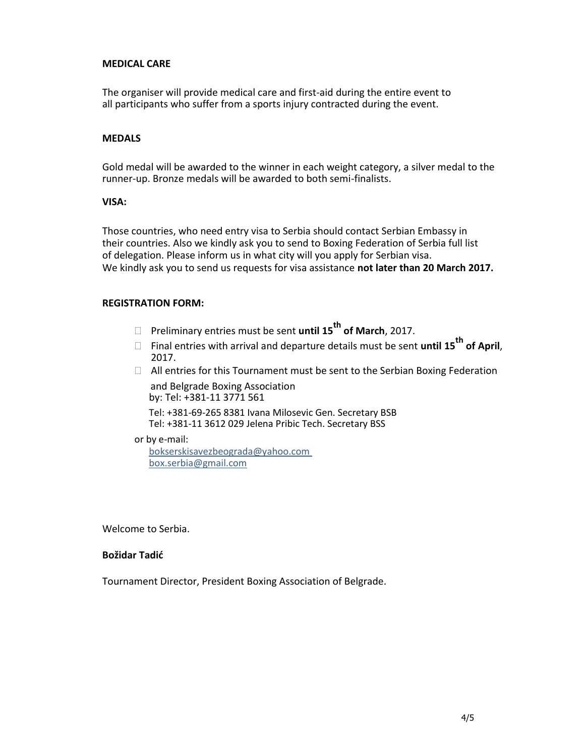#### **MEDICAL CARE**

The organiser will provide medical care and first-aid during the entire event to all participants who suffer from a sports injury contracted during the event.

#### **MEDALS**

Gold medal will be awarded to the winner in each weight category, a silver medal to the runner-up. Bronze medals will be awarded to both semi-finalists.

#### **VISA:**

Those countries, who need entry visa to Serbia should contact Serbian Embassy in their countries. Also we kindly ask you to send to Boxing Federation of Serbia full list of delegation. Please inform us in what city will you apply for Serbian visa. We kindly ask you to send us requests for visa assistance **not later than 20 March 2017.**

#### **REGISTRATION FORM:**

- Preliminary entries must be sent **until 15th of March**, 2017.
- Final entries with arrival and departure details must be sent **until 15th of April**, 2017.
- $\Box$  All entries for this Tournament must be sent to the Serbian Boxing Federation and Belgrade Boxing Association by: Tel: +381-11 3771 561

Tel: +381-69-265 8381 Ivana Milosevic Gen. Secretary BSB Tel: +381-11 3612 029 Jelena Pribic Tech. Secretary BSS

or by e-mail:

bokserskisavezbeograda@yahoo.com box.serbia@gmail.com

Welcome to Serbia.

#### **Božidar Tadić**

Tournament Director, President Boxing Association of Belgrade.